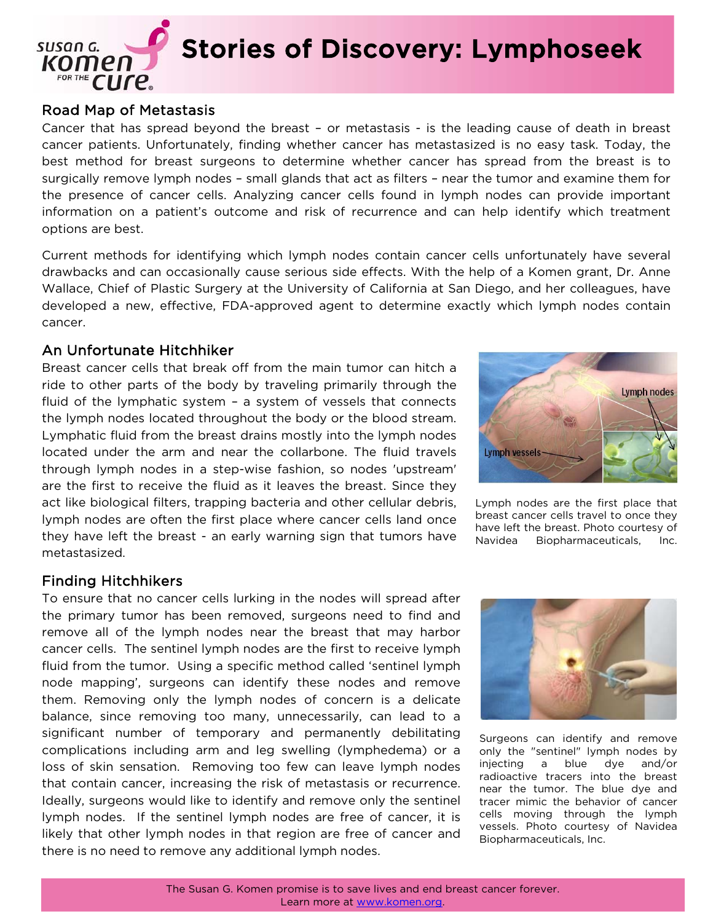

#### Road Map of Metastasis

Cancer that has spread beyond the breast – or metastasis - is the leading cause of death in breast cancer patients. Unfortunately, finding whether cancer has metastasized is no easy task. Today, the best method for breast surgeons to determine whether cancer has spread from the breast is to surgically remove lymph nodes – small glands that act as filters – near the tumor and examine them for the presence of cancer cells. Analyzing cancer cells found in lymph nodes can provide important information on a patient's outcome and risk of recurrence and can help identify which treatment options are best.

Current methods for identifying which lymph nodes contain cancer cells unfortunately have several drawbacks and can occasionally cause serious side effects. With the help of a Komen grant, Dr. Anne Wallace, Chief of Plastic Surgery at the University of California at San Diego, and her colleagues, have developed a new, effective, FDA-approved agent to determine exactly which lymph nodes contain cancer.

#### An Unfortunate Hitchhiker

Breast cancer cells that break off from the main tumor can hitch a ride to other parts of the body by traveling primarily through the fluid of the lymphatic system – a system of vessels that connects the lymph nodes located throughout the body or the blood stream. Lymphatic fluid from the breast drains mostly into the lymph nodes located under the arm and near the collarbone. The fluid travels through lymph nodes in a step-wise fashion, so nodes 'upstream' are the first to receive the fluid as it leaves the breast. Since they act like biological filters, trapping bacteria and other cellular debris, lymph nodes are often the first place where cancer cells land once they have left the breast - an early warning sign that tumors have metastasized.



Lymph nodes are the first place that breast cancer cells travel to once they have left the breast. Photo courtesy of Navidea Biopharmaceuticals, Inc.

## Finding Hitchhikers

To ensure that no cancer cells lurking in the nodes will spread after the primary tumor has been removed, surgeons need to find and remove all of the lymph nodes near the breast that may harbor cancer cells. The sentinel lymph nodes are the first to receive lymph fluid from the tumor. Using a specific method called 'sentinel lymph node mapping', surgeons can identify these nodes and remove them. Removing only the lymph nodes of concern is a delicate balance, since removing too many, unnecessarily, can lead to a significant number of temporary and permanently debilitating complications including arm and leg swelling (lymphedema) or a loss of skin sensation. Removing too few can leave lymph nodes that contain cancer, increasing the risk of metastasis or recurrence. Ideally, surgeons would like to identify and remove only the sentinel lymph nodes. If the sentinel lymph nodes are free of cancer, it is likely that other lymph nodes in that region are free of cancer and there is no need to remove any additional lymph nodes.



Surgeons can identify and remove only the "sentinel" lymph nodes by injecting a blue dye and/or radioactive tracers into the breast near the tumor. The blue dye and tracer mimic the behavior of cancer cells moving through the lymph vessels. Photo courtesy of Navidea Biopharmaceuticals, Inc.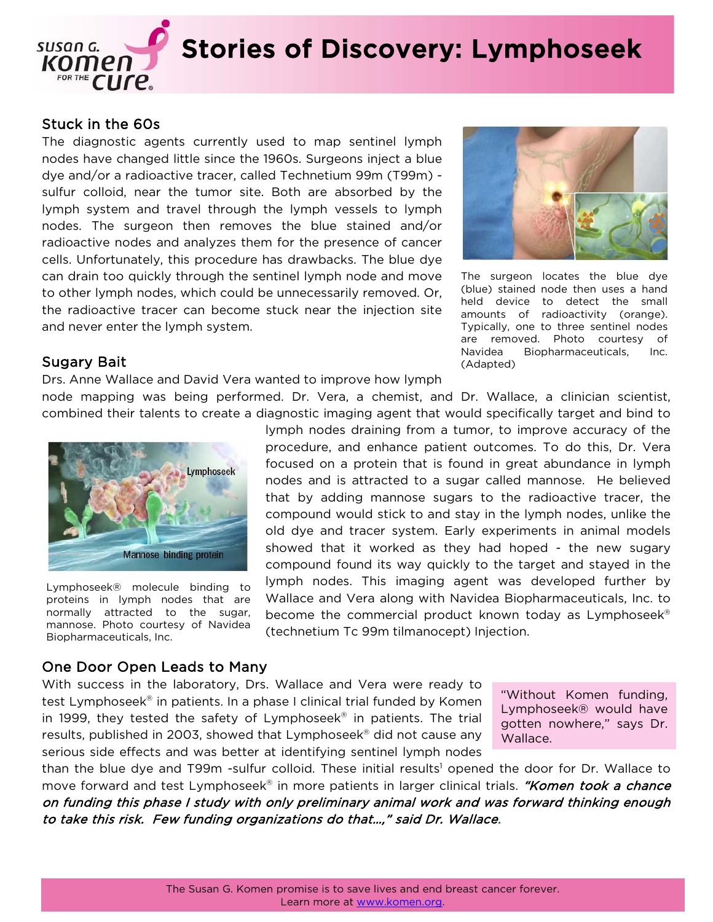

## Stuck in the 60s

The diagnostic agents currently used to map sentinel lymph nodes have changed little since the 1960s. Surgeons inject a blue dye and/or a radioactive tracer, called Technetium 99m (T99m) sulfur colloid, near the tumor site. Both are absorbed by the lymph system and travel through the lymph vessels to lymph nodes. The surgeon then removes the blue stained and/or radioactive nodes and analyzes them for the presence of cancer cells. Unfortunately, this procedure has drawbacks. The blue dye can drain too quickly through the sentinel lymph node and move to other lymph nodes, which could be unnecessarily removed. Or, the radioactive tracer can become stuck near the injection site and never enter the lymph system.



The surgeon locates the blue dye (blue) stained node then uses a hand held device to detect the small amounts of radioactivity (orange). Typically, one to three sentinel nodes are removed. Photo courtesy of Navidea Biopharmaceuticals, Inc. (Adapted)

### Sugary Bait

Drs. Anne Wallace and David Vera wanted to improve how lymph

node mapping was being performed. Dr. Vera, a chemist, and Dr. Wallace, a clinician scientist, combined their talents to create a diagnostic imaging agent that would specifically target and bind to



Lymphoseek® molecule binding to proteins in lymph nodes that are normally attracted to the sugar, mannose. Photo courtesy of Navidea Biopharmaceuticals, Inc.

lymph nodes draining from a tumor, to improve accuracy of the procedure, and enhance patient outcomes. To do this, Dr. Vera focused on a protein that is found in great abundance in lymph nodes and is attracted to a sugar called mannose. He believed that by adding mannose sugars to the radioactive tracer, the compound would stick to and stay in the lymph nodes, unlike the old dye and tracer system. Early experiments in animal models showed that it worked as they had hoped - the new sugary compound found its way quickly to the target and stayed in the lymph nodes. This imaging agent was developed further by Wallace and Vera along with Navidea Biopharmaceuticals, Inc. to become the commercial product known today as Lymphoseek® (technetium Tc 99m tilmanocept) Injection.

### One Door Open Leads to Many

With success in the laboratory, Drs. Wallace and Vera were ready to test Lymphoseek<sup>®</sup> in patients. In a phase I clinical trial funded by Komen in 1999, they tested the safety of Lymphoseek<sup>®</sup> in patients. The trial results, published in 2003, showed that Lymphoseek<sup>®</sup> did not cause any serious side effects and was better at identifying sentinel lymph nodes

"Without Komen funding, Lymphoseek® would have gotten nowhere," says Dr. Wallace.

than the blue dye and T99m -sulfur colloid. These initial results<sup>1</sup> opened the door for Dr. Wallace to move forward and test Lymphoseek<sup>®</sup> in more patients in larger clinical trials. "Komen took a chance on funding this phase I study with only preliminary animal work and was forward thinking enough to take this risk. Few funding organizations do that…," said Dr. Wallace.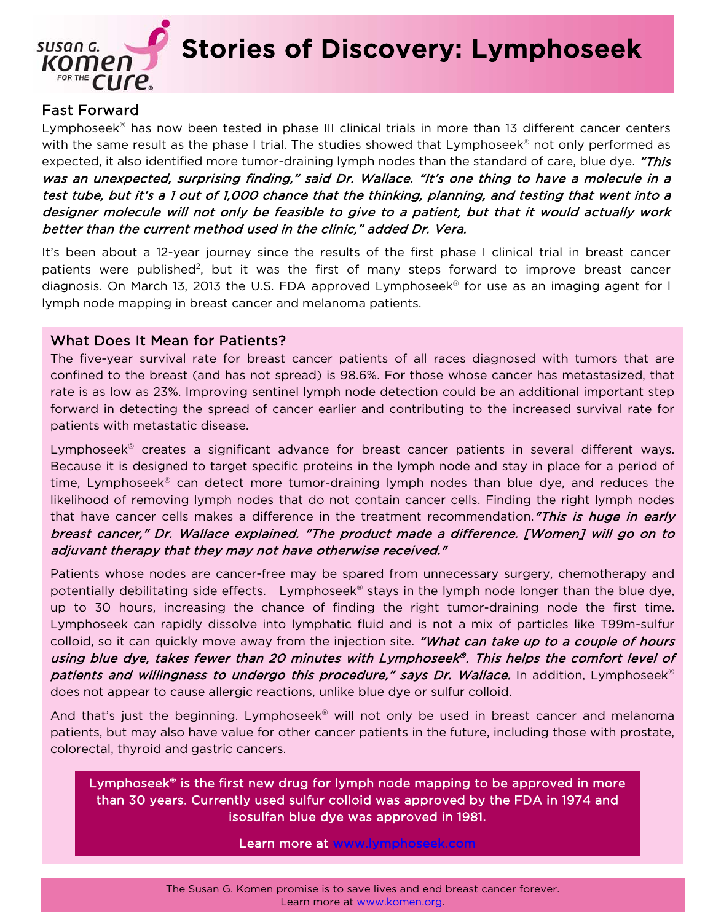

Stories of Discovery: Lymphoseek

# Fast Forward

Lymphoseek<sup>®</sup> has now been tested in phase III clinical trials in more than 13 different cancer centers with the same result as the phase I trial. The studies showed that Lymphoseek® not only performed as expected, it also identified more tumor-draining lymph nodes than the standard of care, blue dye. "This was an unexpected, surprising finding," said Dr. Wallace. "It's one thing to have a molecule in a test tube, but it's a 1 out of 1,000 chance that the thinking, planning, and testing that went into a designer molecule will not only be feasible to give to a patient, but that it would actually work better than the current method used in the clinic," added Dr. Vera.

It's been about a 12-year journey since the results of the first phase I clinical trial in breast cancer patients were published<sup>2</sup>, but it was the first of many steps forward to improve breast cancer diagnosis. On March 13, 2013 the U.S. FDA approved Lymphoseek® for use as an imaging agent for I lymph node mapping in breast cancer and melanoma patients.

### What Does It Mean for Patients?

The five-year survival rate for breast cancer patients of all races diagnosed with tumors that are confined to the breast (and has not spread) is 98.6%. For those whose cancer has metastasized, that rate is as low as 23%. Improving sentinel lymph node detection could be an additional important step forward in detecting the spread of cancer earlier and contributing to the increased survival rate for patients with metastatic disease.

Lymphoseek<sup>®</sup> creates a significant advance for breast cancer patients in several different ways. Because it is designed to target specific proteins in the lymph node and stay in place for a period of time, Lymphoseek<sup>®</sup> can detect more tumor-draining lymph nodes than blue dye, and reduces the likelihood of removing lymph nodes that do not contain cancer cells. Finding the right lymph nodes that have cancer cells makes a difference in the treatment recommendation."This is huge in early breast cancer," Dr. Wallace explained. "The product made a difference. [Women] will go on to adjuvant therapy that they may not have otherwise received."

Patients whose nodes are cancer-free may be spared from unnecessary surgery, chemotherapy and potentially debilitating side effects. Lymphoseek<sup>®</sup> stays in the lymph node longer than the blue dye, up to 30 hours, increasing the chance of finding the right tumor-draining node the first time. Lymphoseek can rapidly dissolve into lymphatic fluid and is not a mix of particles like T99m-sulfur colloid, so it can quickly move away from the injection site. "What can take up to a couple of hours using blue dye, takes fewer than 20 minutes with Lymphoseek®. This helps the comfort level of patients and willingness to undergo this procedure," says Dr. Wallace. In addition, Lymphoseek<sup>®</sup> does not appear to cause allergic reactions, unlike blue dye or sulfur colloid.

And that's just the beginning. Lymphoseek<sup>®</sup> will not only be used in breast cancer and melanoma patients, but may also have value for other cancer patients in the future, including those with prostate, colorectal, thyroid and gastric cancers.

Lymphoseek<sup>®</sup> is the first new drug for lymph node mapping to be approved in more than 30 years. Currently used sulfur colloid was approved by the FDA in 1974 and isosulfan blue dye was approved in 1981.

Learn more at www.lymphoseek.com